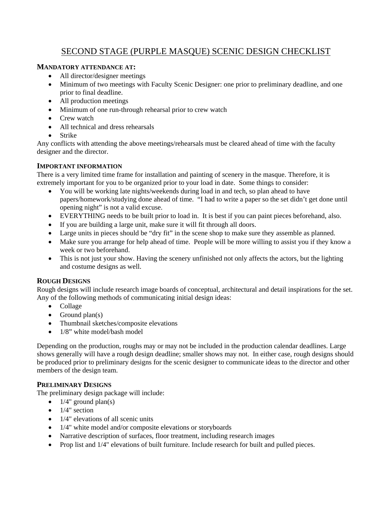# SECOND STAGE (PURPLE MASQUE) SCENIC DESIGN CHECKLIST

## **MANDATORY ATTENDANCE AT:**

- All director/designer meetings
- Minimum of two meetings with Faculty Scenic Designer: one prior to preliminary deadline, and one prior to final deadline.
- All production meetings
- Minimum of one run-through rehearsal prior to crew watch
- Crew watch
- All technical and dress rehearsals
- Strike

Any conflicts with attending the above meetings/rehearsals must be cleared ahead of time with the faculty designer and the director.

## **IMPORTANT INFORMATION**

There is a very limited time frame for installation and painting of scenery in the masque. Therefore, it is extremely important for you to be organized prior to your load in date. Some things to consider:

- You will be working late nights/weekends during load in and tech, so plan ahead to have papers/homework/studying done ahead of time. "I had to write a paper so the set didn't get done until opening night" is not a valid excuse.
- EVERYTHING needs to be built prior to load in. It is best if you can paint pieces beforehand, also.
- If you are building a large unit, make sure it will fit through all doors.
- Large units in pieces should be "dry fit" in the scene shop to make sure they assemble as planned.
- Make sure you arrange for help ahead of time. People will be more willing to assist you if they know a week or two beforehand.
- This is not just your show. Having the scenery unfinished not only affects the actors, but the lighting and costume designs as well.

# **ROUGH DESIGNS**

Rough designs will include research image boards of conceptual, architectural and detail inspirations for the set. Any of the following methods of communicating initial design ideas:

- Collage
- $\bullet$  Ground plan(s)
- Thumbnail sketches/composite elevations
- 1/8" white model/bash model

Depending on the production, roughs may or may not be included in the production calendar deadlines. Large shows generally will have a rough design deadline; smaller shows may not. In either case, rough designs should be produced prior to preliminary designs for the scenic designer to communicate ideas to the director and other members of the design team.

# **PRELIMINARY DESIGNS**

The preliminary design package will include:

- $\bullet$  1/4" ground plan(s)
- $\bullet$  1/4" section
- $\bullet$  1/4" elevations of all scenic units
- 1/4" white model and/or composite elevations or storyboards
- Narrative description of surfaces, floor treatment, including research images
- Prop list and  $1/4$ " elevations of built furniture. Include research for built and pulled pieces.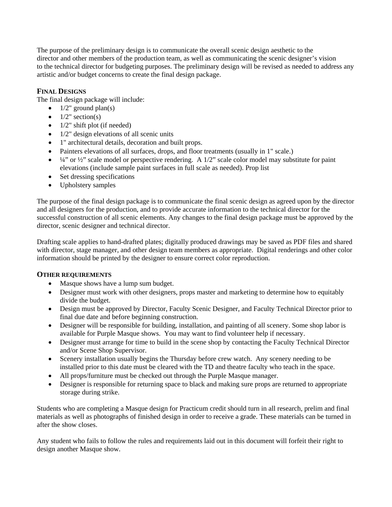The purpose of the preliminary design is to communicate the overall scenic design aesthetic to the director and other members of the production team, as well as communicating the scenic designer's vision to the technical director for budgeting purposes. The preliminary design will be revised as needed to address any artistic and/or budget concerns to create the final design package.

## **FINAL DESIGNS**

The final design package will include:

- $\bullet$  1/2" ground plan(s)
- $\bullet$  1/2" section(s)
- $\bullet$  1/2" shift plot (if needed)
- $\bullet$  1/2" design elevations of all scenic units
- 1" architectural details, decoration and built props.
- Painters elevations of all surfaces, drops, and floor treatments (usually in 1" scale.)
- $\bullet$   $\frac{1}{4}$ " or  $\frac{1}{2}$ " scale model or perspective rendering. A 1/2" scale color model may substitute for paint elevations (include sample paint surfaces in full scale as needed). Prop list
- Set dressing specifications
- Upholstery samples

The purpose of the final design package is to communicate the final scenic design as agreed upon by the director and all designers for the production, and to provide accurate information to the technical director for the successful construction of all scenic elements. Any changes to the final design package must be approved by the director, scenic designer and technical director.

Drafting scale applies to hand-drafted plates; digitally produced drawings may be saved as PDF files and shared with director, stage manager, and other design team members as appropriate. Digital renderings and other color information should be printed by the designer to ensure correct color reproduction.

### **OTHER REQUIREMENTS**

- Masque shows have a lump sum budget.
- Designer must work with other designers, props master and marketing to determine how to equitably divide the budget.
- Design must be approved by Director, Faculty Scenic Designer, and Faculty Technical Director prior to final due date and before beginning construction.
- Designer will be responsible for building, installation, and painting of all scenery. Some shop labor is available for Purple Masque shows. You may want to find volunteer help if necessary.
- Designer must arrange for time to build in the scene shop by contacting the Faculty Technical Director and/or Scene Shop Supervisor.
- Scenery installation usually begins the Thursday before crew watch. Any scenery needing to be installed prior to this date must be cleared with the TD and theatre faculty who teach in the space.
- All props/furniture must be checked out through the Purple Masque manager.
- Designer is responsible for returning space to black and making sure props are returned to appropriate storage during strike.

Students who are completing a Masque design for Practicum credit should turn in all research, prelim and final materials as well as photographs of finished design in order to receive a grade. These materials can be turned in after the show closes.

Any student who fails to follow the rules and requirements laid out in this document will forfeit their right to design another Masque show.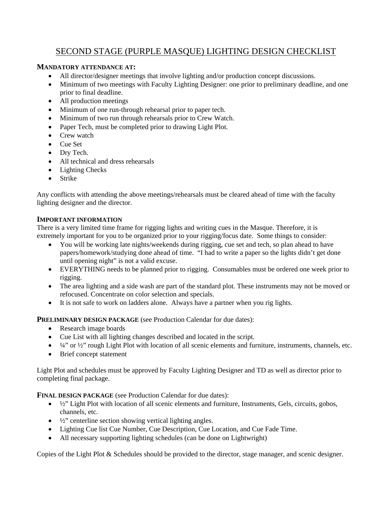# SECOND STAGE (PURPLE MASQUE) LIGHTING DESIGN CHECKLIST

## **MANDATORY ATTENDANCE AT:**

- All director/designer meetings that involve lighting and/or production concept discussions.
- Minimum of two meetings with Faculty Lighting Designer: one prior to preliminary deadline, and one prior to final deadline.
- All production meetings
- Minimum of one run-through rehearsal prior to paper tech.
- Minimum of two run through rehearsals prior to Crew Watch.
- Paper Tech, must be completed prior to drawing Light Plot.
- Crew watch
- Cue Set
- Dry Tech.
- All technical and dress rehearsals
- Lighting Checks
- Strike

Any conflicts with attending the above meetings/rehearsals must be cleared ahead of time with the faculty lighting designer and the director.

### **IMPORTANT INFORMATION**

There is a very limited time frame for rigging lights and writing cues in the Masque. Therefore, it is extremely important for you to be organized prior to your rigging/focus date. Some things to consider:

- You will be working late nights/weekends during rigging, cue set and tech, so plan ahead to have papers/homework/studying done ahead of time. "I had to write a paper so the lights didn't get done until opening night" is not a valid excuse.
- EVERYTHING needs to be planned prior to rigging. Consumables must be ordered one week prior to rigging.
- The area lighting and a side wash are part of the standard plot. These instruments may not be moved or refocused. Concentrate on color selection and specials.
- It is not safe to work on ladders alone. Always have a partner when you rig lights.

**PRELIMINARY DESIGN PACKAGE** (see Production Calendar for due dates):

- Research image boards
- Cue List with all lighting changes described and located in the script.
- $\bullet$   $\frac{1}{4}$ " or  $\frac{1}{2}$ " rough Light Plot with location of all scenic elements and furniture, instruments, channels, etc.
- Brief concept statement

Light Plot and schedules must be approved by Faculty Lighting Designer and TD as well as director prior to completing final package.

**FINAL DESIGN PACKAGE** (see Production Calendar for due dates):

- $\bullet$   $\frac{1}{2}$ " Light Plot with location of all scenic elements and furniture, Instruments, Gels, circuits, gobos, channels, etc.
- $\bullet$   $\frac{1}{2}$  centerline section showing vertical lighting angles.
- Lighting Cue list Cue Number, Cue Description, Cue Location, and Cue Fade Time.
- All necessary supporting lighting schedules (can be done on Lightwright)

Copies of the Light Plot & Schedules should be provided to the director, stage manager, and scenic designer.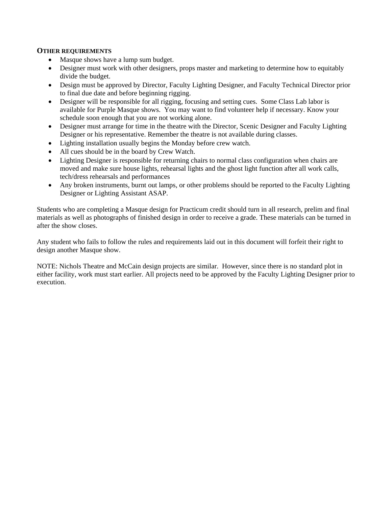#### **OTHER REQUIREMENTS**

- Masque shows have a lump sum budget.
- Designer must work with other designers, props master and marketing to determine how to equitably divide the budget.
- Design must be approved by Director, Faculty Lighting Designer, and Faculty Technical Director prior to final due date and before beginning rigging.
- Designer will be responsible for all rigging, focusing and setting cues. Some Class Lab labor is available for Purple Masque shows. You may want to find volunteer help if necessary. Know your schedule soon enough that you are not working alone.
- Designer must arrange for time in the theatre with the Director, Scenic Designer and Faculty Lighting Designer or his representative. Remember the theatre is not available during classes.
- Lighting installation usually begins the Monday before crew watch.
- All cues should be in the board by Crew Watch.
- Lighting Designer is responsible for returning chairs to normal class configuration when chairs are moved and make sure house lights, rehearsal lights and the ghost light function after all work calls, tech/dress rehearsals and performances
- Any broken instruments, burnt out lamps, or other problems should be reported to the Faculty Lighting Designer or Lighting Assistant ASAP.

Students who are completing a Masque design for Practicum credit should turn in all research, prelim and final materials as well as photographs of finished design in order to receive a grade. These materials can be turned in after the show closes.

Any student who fails to follow the rules and requirements laid out in this document will forfeit their right to design another Masque show.

NOTE: Nichols Theatre and McCain design projects are similar. However, since there is no standard plot in either facility, work must start earlier. All projects need to be approved by the Faculty Lighting Designer prior to execution.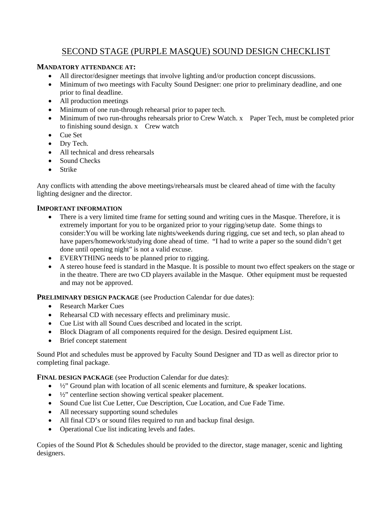# SECOND STAGE (PURPLE MASQUE) SOUND DESIGN CHECKLIST

### **MANDATORY ATTENDANCE AT:**

- All director/designer meetings that involve lighting and/or production concept discussions.
- Minimum of two meetings with Faculty Sound Designer: one prior to preliminary deadline, and one prior to final deadline.
- All production meetings
- Minimum of one run-through rehearsal prior to paper tech.
- Minimum of two run-throughs rehearsals prior to Crew Watch. x Paper Tech, must be completed prior to finishing sound design. x Crew watch
- Cue Set
- Dry Tech.
- All technical and dress rehearsals
- Sound Checks
- Strike

Any conflicts with attending the above meetings/rehearsals must be cleared ahead of time with the faculty lighting designer and the director.

### **IMPORTANT INFORMATION**

- There is a very limited time frame for setting sound and writing cues in the Masque. Therefore, it is extremely important for you to be organized prior to your rigging/setup date. Some things to consider:You will be working late nights/weekends during rigging, cue set and tech, so plan ahead to have papers/homework/studying done ahead of time. "I had to write a paper so the sound didn't get done until opening night" is not a valid excuse.
- EVERYTHING needs to be planned prior to rigging.
- A stereo house feed is standard in the Masque. It is possible to mount two effect speakers on the stage or in the theatre. There are two CD players available in the Masque. Other equipment must be requested and may not be approved.

**PRELIMINARY DESIGN PACKAGE** (see Production Calendar for due dates):

- Research Marker Cues
- Rehearsal CD with necessary effects and preliminary music.
- Cue List with all Sound Cues described and located in the script.
- Block Diagram of all components required for the design. Desired equipment List.
- Brief concept statement

Sound Plot and schedules must be approved by Faculty Sound Designer and TD as well as director prior to completing final package.

**FINAL DESIGN PACKAGE** (see Production Calendar for due dates):

- $\frac{1}{2}$  Ground plan with location of all scenic elements and furniture, & speaker locations.
- $\frac{1}{2}$  centerline section showing vertical speaker placement.
- Sound Cue list Cue Letter, Cue Description, Cue Location, and Cue Fade Time.
- All necessary supporting sound schedules
- All final CD's or sound files required to run and backup final design.
- Operational Cue list indicating levels and fades.

Copies of the Sound Plot & Schedules should be provided to the director, stage manager, scenic and lighting designers.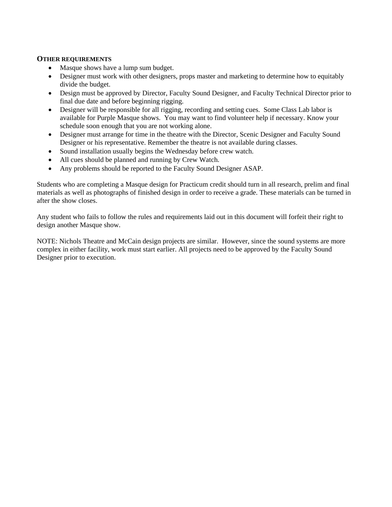#### **OTHER REQUIREMENTS**

- Masque shows have a lump sum budget.
- Designer must work with other designers, props master and marketing to determine how to equitably divide the budget.
- Design must be approved by Director, Faculty Sound Designer, and Faculty Technical Director prior to final due date and before beginning rigging.
- Designer will be responsible for all rigging, recording and setting cues. Some Class Lab labor is available for Purple Masque shows. You may want to find volunteer help if necessary. Know your schedule soon enough that you are not working alone.
- Designer must arrange for time in the theatre with the Director, Scenic Designer and Faculty Sound Designer or his representative. Remember the theatre is not available during classes.
- Sound installation usually begins the Wednesday before crew watch.
- All cues should be planned and running by Crew Watch.
- Any problems should be reported to the Faculty Sound Designer ASAP.

Students who are completing a Masque design for Practicum credit should turn in all research, prelim and final materials as well as photographs of finished design in order to receive a grade. These materials can be turned in after the show closes.

Any student who fails to follow the rules and requirements laid out in this document will forfeit their right to design another Masque show.

NOTE: Nichols Theatre and McCain design projects are similar. However, since the sound systems are more complex in either facility, work must start earlier. All projects need to be approved by the Faculty Sound Designer prior to execution.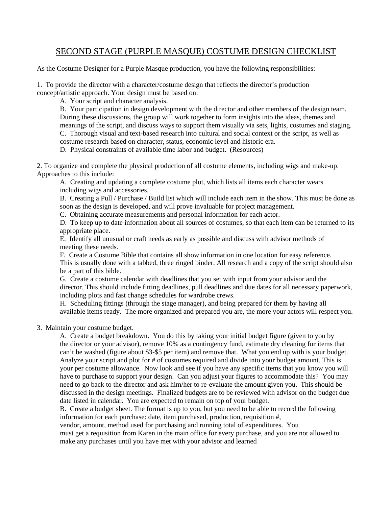# SECOND STAGE (PURPLE MASQUE) COSTUME DESIGN CHECKLIST

As the Costume Designer for a Purple Masque production, you have the following responsibilities:

1. To provide the director with a character/costume design that reflects the director's production concept/artistic approach. Your design must be based on:

A. Your script and character analysis.

B. Your participation in design development with the director and other members of the design team. During these discussions, the group will work together to form insights into the ideas, themes and meanings of the script, and discuss ways to support them visually via sets, lights, costumes and staging. C. Thorough visual and text-based research into cultural and social context or the script, as well as costume research based on character, status, economic level and historic era.

D. Physical constraints of available time labor and budget. (Resources)

2. To organize and complete the physical production of all costume elements, including wigs and make-up. Approaches to this include:

A. Creating and updating a complete costume plot, which lists all items each character wears including wigs and accessories.

B. Creating a Pull / Purchase / Build list which will include each item in the show. This must be done as soon as the design is developed, and will prove invaluable for project management.

C. Obtaining accurate measurements and personal information for each actor.

D. To keep up to date information about all sources of costumes, so that each item can be returned to its appropriate place.

E. Identify all unusual or craft needs as early as possible and discuss with advisor methods of meeting these needs.

F. Create a Costume Bible that contains all show information in one location for easy reference. This is usually done with a tabbed, three ringed binder. All research and a copy of the script should also be a part of this bible.

G. Create a costume calendar with deadlines that you set with input from your advisor and the director. This should include fitting deadlines, pull deadlines and due dates for all necessary paperwork, including plots and fast change schedules for wardrobe crews.

H. Scheduling fittings (through the stage manager), and being prepared for them by having all available items ready. The more organized and prepared you are, the more your actors will respect you.

3. Maintain your costume budget.

A. Create a budget breakdown. You do this by taking your initial budget figure (given to you by the director or your advisor), remove 10% as a contingency fund, estimate dry cleaning for items that can't be washed (figure about \$3-\$5 per item) and remove that. What you end up with is your budget. Analyze your script and plot for # of costumes required and divide into your budget amount. This is your per costume allowance. Now look and see if you have any specific items that you know you will have to purchase to support your design. Can you adjust your figures to accommodate this? You may need to go back to the director and ask him/her to re-evaluate the amount given you. This should be discussed in the design meetings. Finalized budgets are to be reviewed with advisor on the budget due date listed in calendar. You are expected to remain on top of your budget.

B. Create a budget sheet. The format is up to you, but you need to be able to record the following information for each purchase: date, item purchased, production, requisition #,

vendor, amount, method used for purchasing and running total of expenditures. You

must get a requisition from Karen in the main office for every purchase, and you are not allowed to make any purchases until you have met with your advisor and learned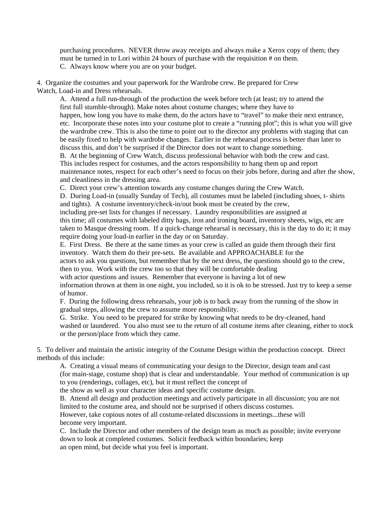purchasing procedures. NEVER throw away receipts and always make a Xerox copy of them; they must be turned in to Lori within 24 hours of purchase with the requisition # on them. C. Always know where you are on your budget.

4. Organize the costumes and your paperwork for the Wardrobe crew. Be prepared for Crew Watch, Load-in and Dress rehearsals.

A. Attend a full run-through of the production the week before tech (at least; try to attend the first full stumble-through). Make notes about costume changes; where they have to happen, how long you have to make them, do the actors have to "travel" to make their next entrance, etc. Incorporate these notes into your costume plot to create a "running plot"; this is what you will give the wardrobe crew. This is also the time to point out to the director any problems with staging that can be easily fixed to help with wardrobe changes. Earlier in the rehearsal process is better than later to discuss this, and don't be surprised if the Director does not want to change something.

B. At the beginning of Crew Watch, discuss professional behavior with both the crew and cast. This includes respect for costumes, and the actors responsibility to hang them up and report maintenance notes, respect for each other's need to focus on their jobs before, during and after the show, and cleanliness in the dressing area.

C. Direct your crew's attention towards any costume changes during the Crew Watch.

D. During Load-in (usually Sunday of Tech), all costumes must be labeled (including shoes, t- shirts and tights). A costume inventory/check-in/out book must be created by the crew,

including pre-set lists for changes if necessary. Laundry responsibilities are assigned at this time; all costumes with labeled ditty bags, iron and ironing board, inventory sheets, wigs, etc are taken to Masque dressing room. If a quick-change rehearsal is necessary, this is the day to do it; it may require doing your load-in earlier in the day or on Saturday.

E. First Dress. Be there at the same times as your crew is called an guide them through their first inventory. Watch them do their pre-sets. Be available and APPROACHABLE for the

actors to ask you questions, but remember that by the next dress, the questions should go to the crew, then to you. Work with the crew too so that they will be comfortable dealing

with actor questions and issues. Remember that everyone is having a lot of new

information thrown at them in one night, you included, so it is ok to be stressed. Just try to keep a sense of humor.

F. During the following dress rehearsals, your job is to back away from the running of the show in gradual steps, allowing the crew to assume more responsibility.

G. Strike. You need to be prepared for strike by knowing what needs to be dry-cleaned, hand washed or laundered. You also must see to the return of all costume items after cleaning, either to stock or the person/place from which they came.

5. To deliver and maintain the artistic integrity of the Costume Design within the production concept. Direct methods of this include:

A. Creating a visual means of communicating your design to the Director, design team and cast (for main-stage, costume shop) that is clear and understandable. Your method of communication is up to you (renderings, collages, etc), but it must reflect the concept of

the show as well as your character ideas and specific costume design.

B. Attend all design and production meetings and actively participate in all discussion; you are not limited to the costume area, and should not be surprised if others discuss costumes.

However, take copious notes of all costume-related discussions in meetings...these will become very important.

C. Include the Director and other members of the design team as much as possible; invite everyone down to look at completed costumes. Solicit feedback within boundaries; keep an open mind, but decide what you feel is important.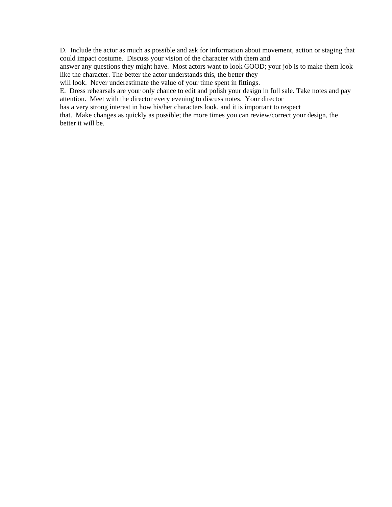D. Include the actor as much as possible and ask for information about movement, action or staging that could impact costume. Discuss your vision of the character with them and

answer any questions they might have. Most actors want to look GOOD; your job is to make them look like the character. The better the actor understands this, the better they

will look. Never underestimate the value of your time spent in fittings.

E. Dress rehearsals are your only chance to edit and polish your design in full sale. Take notes and pay attention. Meet with the director every evening to discuss notes. Your director

has a very strong interest in how his/her characters look, and it is important to respect

that. Make changes as quickly as possible; the more times you can review/correct your design, the better it will be.